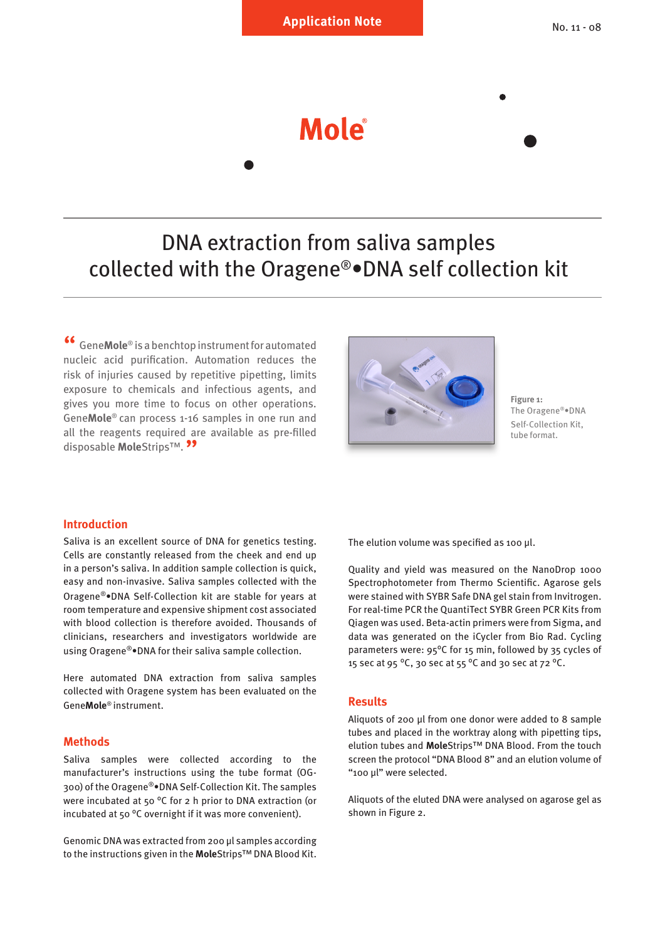Mole

# DNA extraction from saliva samples collected with the Oragene®•DNA self collection kit

Gene**Mole**<sup>®</sup> is a benchtop instrument for automated nucleic acid purification. Automation reduces the risk of injuries caused by repetitive pipetting, limits exposure to chemicals and infectious agents, and gives you more time to focus on other operations. Gene**Mole**® can process 1-16 samples in one run and all the reagents required are available as pre-filled disposable **Mole**Strips™. <sup>99</sup>



**Figure 1:** The Oragene®•DNA Self-Collection Kit, tube format.

### **Introduction**

Saliva is an excellent source of DNA for genetics testing. Cells are constantly released from the cheek and end up in a person's saliva. In addition sample collection is quick, easy and non-invasive. Saliva samples collected with the Oragene®•DNA Self-Collection kit are stable for years at room temperature and expensive shipment cost associated with blood collection is therefore avoided. Thousands of clinicians, researchers and investigators worldwide are using Oragene®•DNA for their saliva sample collection.

Here automated DNA extraction from saliva samples collected with Oragene system has been evaluated on the Gene**Mole**® instrument.

#### **Methods**

Saliva samples were collected according to the manufacturer's instructions using the tube format (OG-300) of the Oragene®•DNA Self-Collection Kit. The samples were incubated at 50 ºC for 2 h prior to DNA extraction (or incubated at 50 ºC overnight if it was more convenient).

Genomic DNA was extracted from 200 µl samples according to the instructions given in the **Mole**Strips™ DNA Blood Kit. The elution volume was specified as 100 µl.

Quality and yield was measured on the NanoDrop 1000 Spectrophotometer from Thermo Scientific. Agarose gels were stained with SYBR Safe DNA gel stain from Invitrogen. For real-time PCR the QuantiTect SYBR Green PCR Kits from Qiagen was used. Beta-actin primers were from Sigma, and data was generated on the iCycler from Bio Rad. Cycling parameters were: 95ºC for 15 min, followed by 35 cycles of 15 sec at 95 ºC, 30 sec at 55 ºC and 30 sec at 72 ºC.

#### **Results**

Aliquots of 200 µl from one donor were added to 8 sample tubes and placed in the worktray along with pipetting tips, elution tubes and **Mole**Strips™ DNA Blood. From the touch screen the protocol "DNA Blood 8" and an elution volume of "100 µl" were selected.

Aliquots of the eluted DNA were analysed on agarose gel as shown in Figure 2.